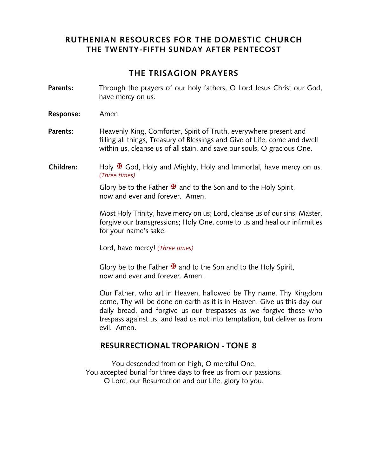# **RUTHENIAN RESOURCES FOR THE DOMESTIC CHURCH THE TWENTY-FIFTH SUNDAY AFTER PENTECOST**

# **THE TRISAGION PRAYERS**

- **Parents:** Through the prayers of our holy fathers, O Lord Jesus Christ our God, have mercy on us.
- **Response:** Amen.
- **Parents:** Heavenly King, Comforter, Spirit of Truth, everywhere present and filling all things, Treasury of Blessings and Give of Life, come and dwell within us, cleanse us of all stain, and save our souls, O gracious One.
- **Children:** Holy <sup>★</sup> God, Holy and Mighty, Holy and Immortal, have mercy on us. *(Three times)*

Glory be to the Father  $\mathbf{\mathbf{\mathbf{\mathsf{F}}} }$  and to the Son and to the Holy Spirit, now and ever and forever. Amen.

Most Holy Trinity, have mercy on us; Lord, cleanse us of our sins; Master, forgive our transgressions; Holy One, come to us and heal our infirmities for your name's sake.

Lord, have mercy! *(Three times)*

Glory be to the Father  $\mathbf{\mathbf{\mathbf{\mathsf{F}}} }$  and to the Son and to the Holy Spirit, now and ever and forever. Amen.

Our Father, who art in Heaven, hallowed be Thy name. Thy Kingdom come, Thy will be done on earth as it is in Heaven. Give us this day our daily bread, and forgive us our trespasses as we forgive those who trespass against us, and lead us not into temptation, but deliver us from evil. Amen.

### **RESURRECTIONAL TROPARION - TONE 8**

You descended from on high, O merciful One. You accepted burial for three days to free us from our passions. O Lord, our Resurrection and our Life, glory to you.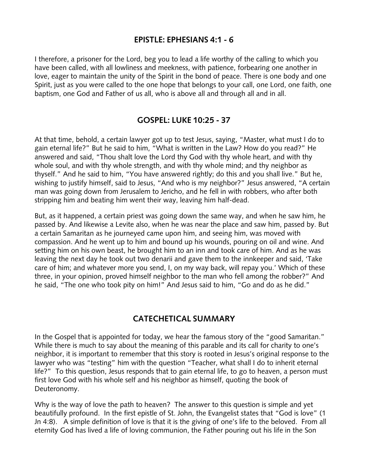### **EPISTLE: EPHESIANS 4:1 - 6**

I therefore, a prisoner for the Lord, beg you to lead a life worthy of the calling to which you have been called, with all lowliness and meekness, with patience, forbearing one another in love, eager to maintain the unity of the Spirit in the bond of peace. There is one body and one Spirit, just as you were called to the one hope that belongs to your call, one Lord, one faith, one baptism, one God and Father of us all, who is above all and through all and in all.

### **GOSPEL: LUKE 10:25 - 37**

At that time, behold, a certain lawyer got up to test Jesus, saying, "Master, what must I do to gain eternal life?" But he said to him, "What is written in the Law? How do you read?" He answered and said, "Thou shalt love the Lord thy God with thy whole heart, and with thy whole soul, and with thy whole strength, and with thy whole mind; and thy neighbor as thyself." And he said to him, "You have answered rightly; do this and you shall live." But he, wishing to justify himself, said to Jesus, "And who is my neighbor?" Jesus answered, "A certain man was going down from Jerusalem to Jericho, and he fell in with robbers, who after both stripping him and beating him went their way, leaving him half-dead.

But, as it happened, a certain priest was going down the same way, and when he saw him, he passed by. And likewise a Levite also, when he was near the place and saw him, passed by. But a certain Samaritan as he journeyed came upon him, and seeing him, was moved with compassion. And he went up to him and bound up his wounds, pouring on oil and wine. And setting him on his own beast, he brought him to an inn and took care of him. And as he was leaving the next day he took out two denarii and gave them to the innkeeper and said, 'Take care of him; and whatever more you send, I, on my way back, will repay you.' Which of these three, in your opinion, proved himself neighbor to the man who fell among the robber?" And he said, "The one who took pity on him!" And Jesus said to him, "Go and do as he did."

# **CATECHETICAL SUMMARY**

In the Gospel that is appointed for today, we hear the famous story of the "good Samaritan." While there is much to say about the meaning of this parable and its call for charity to one's neighbor, it is important to remember that this story is rooted in Jesus's original response to the lawyer who was "testing" him with the question "Teacher, what shall I do to inherit eternal life?" To this question, Jesus responds that to gain eternal life, to go to heaven, a person must first love God with his whole self and his neighbor as himself, quoting the book of Deuteronomy.

Why is the way of love the path to heaven? The answer to this question is simple and yet beautifully profound. In the first epistle of St. John, the Evangelist states that "God is love" (1 Jn 4:8). A simple definition of love is that it is the giving of one's life to the beloved. From all eternity God has lived a life of loving communion, the Father pouring out his life in the Son